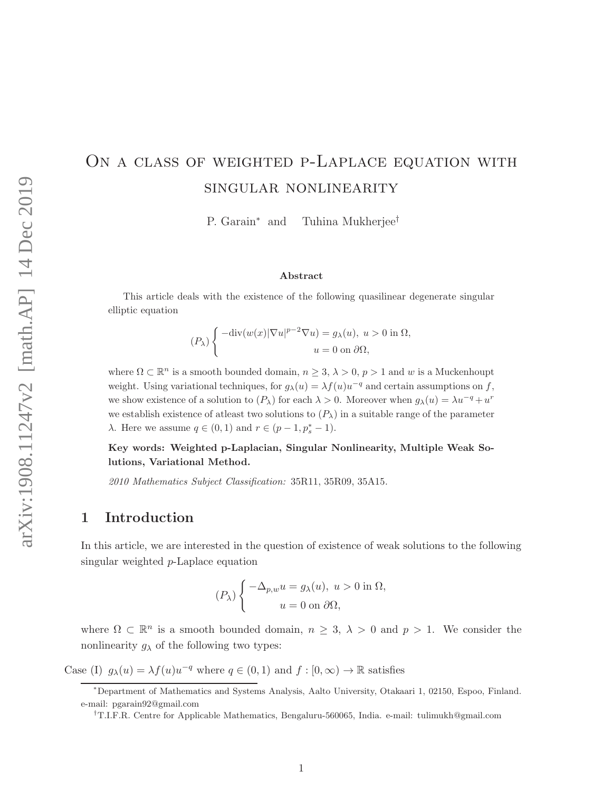# ON A CLASS OF WEIGHTED P-LAPLACE EQUATION WITH singular nonlinearity

P. Garain<sup>∗</sup> and Tuhina Mukherjee<sup>†</sup>

#### Abstract

This article deals with the existence of the following quasilinear degenerate singular elliptic equation

$$
(P_{\lambda})\left\{\begin{aligned} -\text{div}(w(x)|\nabla u|^{p-2}\nabla u) &= g_{\lambda}(u), \ u > 0 \text{ in } \Omega, \\ u &= 0 \text{ on } \partial \Omega, \end{aligned}\right.
$$

where  $\Omega \subset \mathbb{R}^n$  is a smooth bounded domain,  $n \geq 3$ ,  $\lambda > 0$ ,  $p > 1$  and w is a Muckenhoupt weight. Using variational techniques, for  $g_{\lambda}(u) = \lambda f(u)u^{-q}$  and certain assumptions on f, we show existence of a solution to  $(P_\lambda)$  for each  $\lambda > 0$ . Moreover when  $g_\lambda(u) = \lambda u^{-q} + u^r$ we establish existence of atleast two solutions to  $(P_\lambda)$  in a suitable range of the parameter  $\lambda$ . Here we assume  $q \in (0,1)$  and  $r \in (p-1, p_s^* - 1)$ .

Key words: Weighted p-Laplacian, Singular Nonlinearity, Multiple Weak Solutions, Variational Method.

2010 Mathematics Subject Classification: 35R11, 35R09, 35A15.

## 1 Introduction

In this article, we are interested in the question of existence of weak solutions to the following singular weighted p-Laplace equation

$$
(P_{\lambda})\begin{cases}\n-\Delta_{p,w}u = g_{\lambda}(u), \ u > 0 \text{ in } \Omega, \\
u = 0 \text{ on } \partial\Omega,\n\end{cases}
$$

where  $\Omega \subset \mathbb{R}^n$  is a smooth bounded domain,  $n \geq 3$ ,  $\lambda > 0$  and  $p > 1$ . We consider the nonlinearity  $g_{\lambda}$  of the following two types:

Case (I)  $g_{\lambda}(u) = \lambda f(u)u^{-q}$  where  $q \in (0,1)$  and  $f : [0,\infty) \to \mathbb{R}$  satisfies

<sup>∗</sup>Department of Mathematics and Systems Analysis, Aalto University, Otakaari 1, 02150, Espoo, Finland. e-mail: pgarain92@gmail.com

<sup>†</sup>T.I.F.R. Centre for Applicable Mathematics, Bengaluru-560065, India. e-mail: tulimukh@gmail.com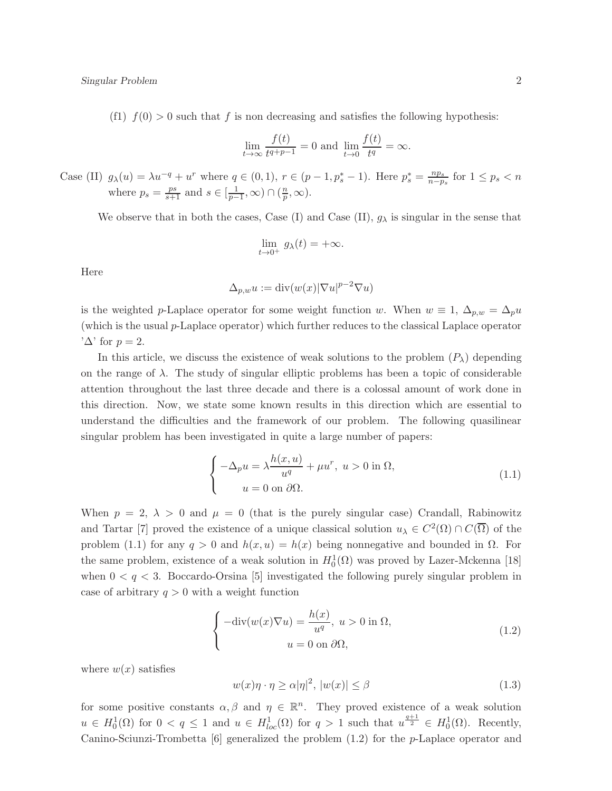(f1)  $f(0) > 0$  such that f is non decreasing and satisfies the following hypothesis:

$$
\lim_{t \to \infty} \frac{f(t)}{t^{q+p-1}} = 0 \text{ and } \lim_{t \to 0} \frac{f(t)}{t^q} = \infty.
$$

Case (II)  $g_{\lambda}(u) = \lambda u^{-q} + u^r$  where  $q \in (0,1)$ ,  $r \in (p-1,p_s^*-1)$ . Here  $p_s^* = \frac{np_s}{n-p_s^*}$  $\frac{np_s}{n-p_s}$  for  $1 \leq p_s < n$ where  $p_s = \frac{ps}{s+1}$  and  $s \in \left[\frac{1}{p-1}, \infty\right) \cap \left(\frac{n}{p}\right)$  $\frac{n}{p}, \infty$ ).

We observe that in both the cases, Case (I) and Case (II),  $g_{\lambda}$  is singular in the sense that

$$
\lim_{t \to 0^+} g_{\lambda}(t) = +\infty.
$$

Here

$$
\Delta_{p,w} u := \operatorname{div}(w(x)|\nabla u|^{p-2}\nabla u)
$$

is the weighted p-Laplace operator for some weight function w. When  $w \equiv 1, \Delta_{p,w} = \Delta_p u$ (which is the usual p-Laplace operator) which further reduces to the classical Laplace operator  $'\Delta$ ' for  $p=2$ .

In this article, we discuss the existence of weak solutions to the problem  $(P_\lambda)$  depending on the range of  $\lambda$ . The study of singular elliptic problems has been a topic of considerable attention throughout the last three decade and there is a colossal amount of work done in this direction. Now, we state some known results in this direction which are essential to understand the difficulties and the framework of our problem. The following quasilinear singular problem has been investigated in quite a large number of papers:

$$
\begin{cases}\n-\Delta_p u = \lambda \frac{h(x, u)}{u^q} + \mu u^r, \ u > 0 \text{ in } \Omega, \\
u = 0 \text{ on } \partial \Omega.\n\end{cases}
$$
\n(1.1)

When  $p = 2$ ,  $\lambda > 0$  and  $\mu = 0$  (that is the purely singular case) Crandall, Rabinowitz and Tartar [7] proved the existence of a unique classical solution  $u_{\lambda} \in C^2(\Omega) \cap C(\overline{\Omega})$  of the problem (1.1) for any  $q > 0$  and  $h(x, u) = h(x)$  being nonnegative and bounded in  $\Omega$ . For the same problem, existence of a weak solution in  $H_0^1(\Omega)$  was proved by Lazer-Mckenna [18] when  $0 < q < 3$ . Boccardo-Orsina [5] investigated the following purely singular problem in case of arbitrary  $q > 0$  with a weight function

$$
\begin{cases}\n-\text{div}(w(x)\nabla u) = \frac{h(x)}{u^q}, \ u > 0 \text{ in } \Omega, \\
u = 0 \text{ on } \partial\Omega,\n\end{cases}
$$
\n(1.2)

where  $w(x)$  satisfies

$$
w(x)\eta \cdot \eta \ge \alpha |\eta|^2, \, |w(x)| \le \beta \tag{1.3}
$$

for some positive constants  $\alpha, \beta$  and  $\eta \in \mathbb{R}^n$ . They proved existence of a weak solution  $u \in H_0^1(\Omega)$  for  $0 < q \leq 1$  and  $u \in H_{loc}^1(\Omega)$  for  $q > 1$  such that  $u^{\frac{q+1}{2}} \in H_0^1(\Omega)$ . Recently, Canino-Sciunzi-Trombetta [6] generalized the problem (1.2) for the p-Laplace operator and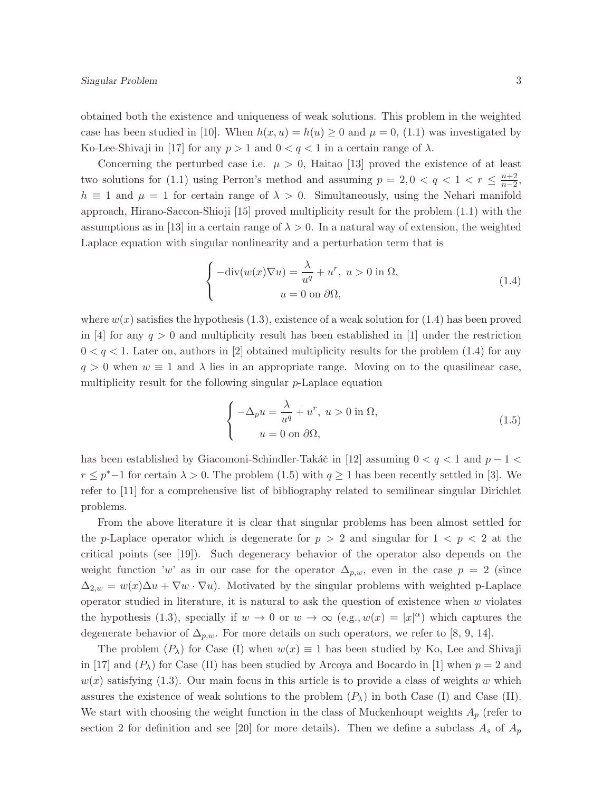obtained both the existence and uniqueness of weak solutions. This problem in the weighted case has been studied in [10]. When  $h(x, u) = h(u) \ge 0$  and  $\mu = 0$ , (1.1) was investigated by Ko-Lee-Shivaji in [17] for any  $p > 1$  and  $0 < q < 1$  in a certain range of  $\lambda$ .

Concerning the perturbed case i.e.  $\mu > 0$ , Haitao [13] proved the existence of at least two solutions for (1.1) using Perron's method and assuming  $p = 2, 0 < q < 1 < r \leq \frac{n+2}{n-2}$  $\frac{n+2}{n-2},$  $h \equiv 1$  and  $\mu = 1$  for certain range of  $\lambda > 0$ . Simultaneously, using the Nehari manifold approach, Hirano-Saccon-Shioji [15] proved multiplicity result for the problem (1.1) with the assumptions as in [13] in a certain range of  $\lambda > 0$ . In a natural way of extension, the weighted Laplace equation with singular nonlinearity and a perturbation term that is

$$
\begin{cases}\n-\text{div}(w(x)\nabla u) = \frac{\lambda}{u^q} + u^r, \ u > 0 \text{ in } \Omega, \\
u = 0 \text{ on } \partial\Omega,\n\end{cases}
$$
\n(1.4)

where  $w(x)$  satisfies the hypothesis (1.3), existence of a weak solution for (1.4) has been proved in [4] for any  $q > 0$  and multiplicity result has been established in [1] under the restriction  $0 < q < 1$ . Later on, authors in [2] obtained multiplicity results for the problem (1.4) for any  $q > 0$  when  $w \equiv 1$  and  $\lambda$  lies in an appropriate range. Moving on to the quasilinear case, multiplicity result for the following singular p-Laplace equation

$$
\begin{cases}\n-\Delta_p u = \frac{\lambda}{u^q} + u^r, \ u > 0 \text{ in } \Omega, \\
u = 0 \text{ on } \partial\Omega,\n\end{cases}
$$
\n(1.5)

has been established by Giacomoni-Schindler-Takáč in [12] assuming  $0 < q < 1$  and  $p - 1 <$  $r \leq p^* - 1$  for certain  $\lambda > 0$ . The problem (1.5) with  $q \geq 1$  has been recently settled in [3]. We refer to [11] for a comprehensive list of bibliography related to semilinear singular Dirichlet problems.

From the above literature it is clear that singular problems has been almost settled for the p-Laplace operator which is degenerate for  $p > 2$  and singular for  $1 < p < 2$  at the critical points (see [19]). Such degeneracy behavior of the operator also depends on the weight function 'w' as in our case for the operator  $\Delta_{p,w}$ , even in the case  $p = 2$  (since  $\Delta_{2,w} = w(x)\Delta u + \nabla w \cdot \nabla u$ . Motivated by the singular problems with weighted p-Laplace operator studied in literature, it is natural to ask the question of existence when  $w$  violates the hypothesis (1.3), specially if  $w \to 0$  or  $w \to \infty$  (e.g.,  $w(x) = |x|^{\alpha}$ ) which captures the degenerate behavior of  $\Delta_{p,w}$ . For more details on such operators, we refer to [8, 9, 14].

The problem  $(P_\lambda)$  for Case (I) when  $w(x) \equiv 1$  has been studied by Ko, Lee and Shivaji in [17] and  $(P_\lambda)$  for Case (II) has been studied by Arcoya and Bocardo in [1] when  $p = 2$  and  $w(x)$  satisfying (1.3). Our main focus in this article is to provide a class of weights w which assures the existence of weak solutions to the problem  $(P_\lambda)$  in both Case (I) and Case (II). We start with choosing the weight function in the class of Muckenhoupt weights  $A_p$  (refer to section 2 for definition and see [20] for more details). Then we define a subclass  $A_s$  of  $A_p$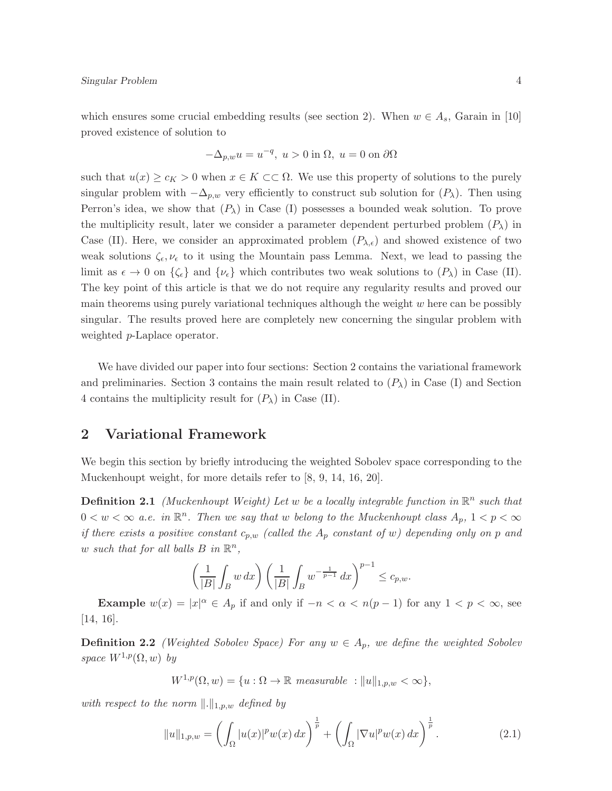which ensures some crucial embedding results (see section 2). When  $w \in A_s$ , Garain in [10] proved existence of solution to

$$
-\Delta_{p,w}u = u^{-q}, \ u > 0 \text{ in } \Omega, \ u = 0 \text{ on } \partial\Omega
$$

such that  $u(x) \geq c_K > 0$  when  $x \in K \subset\subset \Omega$ . We use this property of solutions to the purely singular problem with  $-\Delta_{p,w}$  very efficiently to construct sub solution for  $(P_\lambda)$ . Then using Perron's idea, we show that  $(P_\lambda)$  in Case (I) possesses a bounded weak solution. To prove the multiplicity result, later we consider a parameter dependent perturbed problem  $(P_\lambda)$  in Case (II). Here, we consider an approximated problem  $(P_{\lambda,\epsilon})$  and showed existence of two weak solutions  $\zeta_{\epsilon}, \nu_{\epsilon}$  to it using the Mountain pass Lemma. Next, we lead to passing the limit as  $\epsilon \to 0$  on  $\{\zeta_{\epsilon}\}\$ and  $\{\nu_{\epsilon}\}\$  which contributes two weak solutions to  $(P_{\lambda})$  in Case (II). The key point of this article is that we do not require any regularity results and proved our main theorems using purely variational techniques although the weight  $w$  here can be possibly singular. The results proved here are completely new concerning the singular problem with weighted p-Laplace operator.

We have divided our paper into four sections: Section 2 contains the variational framework and preliminaries. Section 3 contains the main result related to  $(P_\lambda)$  in Case (I) and Section 4 contains the multiplicity result for  $(P_\lambda)$  in Case (II).

#### 2 Variational Framework

We begin this section by briefly introducing the weighted Sobolev space corresponding to the Muckenhoupt weight, for more details refer to [8, 9, 14, 16, 20].

**Definition 2.1** (Muckenhoupt Weight) Let w be a locally integrable function in  $\mathbb{R}^n$  such that  $0 < w < \infty$  a.e. in  $\mathbb{R}^n$ . Then we say that w belong to the Muckenhoupt class  $A_p$ ,  $1 < p < \infty$ if there exists a positive constant  $c_{p,w}$  (called the  $A_p$  constant of w) depending only on p and w such that for all balls  $B$  in  $\mathbb{R}^n$ ,

$$
\left(\frac{1}{|B|}\int_B w\,dx\right)\left(\frac{1}{|B|}\int_B w^{-\frac{1}{p-1}}\,dx\right)^{p-1}\leq c_{p,w}.
$$

**Example**  $w(x) = |x|^{\alpha} \in A_p$  if and only if  $-n < \alpha < n(p-1)$  for any  $1 < p < \infty$ , see [14, 16].

**Definition 2.2** (Weighted Sobolev Space) For any  $w \in A_p$ , we define the weighted Sobolev space  $W^{1,p}(\Omega,w)$  by

$$
W^{1,p}(\Omega, w) = \{u : \Omega \to \mathbb{R} \text{ measurable} : ||u||_{1,p,w} < \infty\},\
$$

with respect to the norm  $\Vert .\Vert_{1,p,w}$  defined by

$$
||u||_{1,p,w} = \left(\int_{\Omega} |u(x)|^p w(x) dx\right)^{\frac{1}{p}} + \left(\int_{\Omega} |\nabla u|^p w(x) dx\right)^{\frac{1}{p}}.
$$
 (2.1)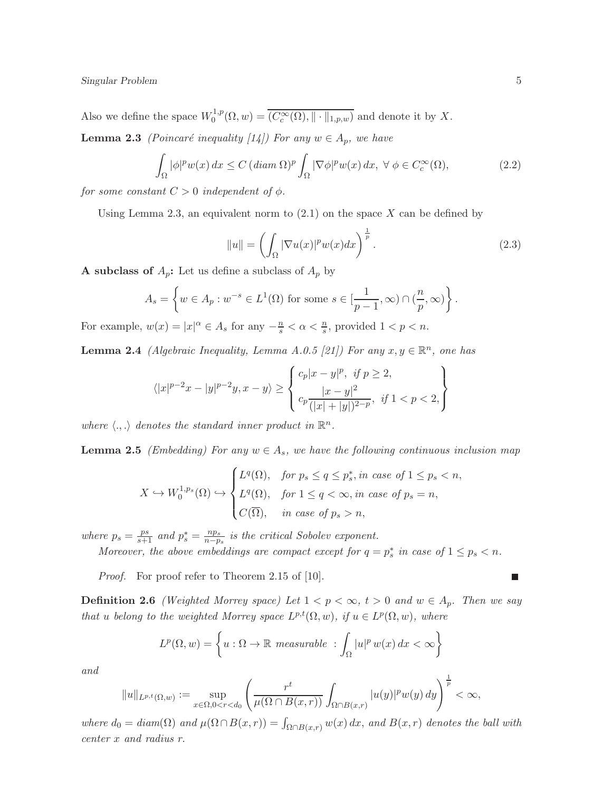Also we define the space  $W_0^{1,p}$  $C_0^{1,p}(\Omega, w) = (C_c^{\infty}(\Omega), \|\cdot\|_{1,p,w})$  and denote it by X.

**Lemma 2.3** (Poincaré inequality [14]) For any  $w \in A_p$ , we have

$$
\int_{\Omega} |\phi|^p w(x) dx \le C \left( \operatorname{diam} \Omega \right)^p \int_{\Omega} |\nabla \phi|^p w(x) dx, \ \forall \ \phi \in C_c^{\infty}(\Omega), \tag{2.2}
$$

for some constant  $C > 0$  independent of  $\phi$ .

Using Lemma 2.3, an equivalent norm to  $(2.1)$  on the space X can be defined by

$$
||u|| = \left(\int_{\Omega} |\nabla u(x)|^p w(x) dx\right)^{\frac{1}{p}}.
$$
\n(2.3)

**A** subclass of  $A_p$ : Let us define a subclass of  $A_p$  by

$$
A_s = \left\{ w \in A_p : w^{-s} \in L^1(\Omega) \text{ for some } s \in [\frac{1}{p-1}, \infty) \cap (\frac{n}{p}, \infty) \right\}.
$$

For example,  $w(x) = |x|^{\alpha} \in A_s$  for any  $-\frac{n}{s} < \alpha < \frac{n}{s}$ , provided  $1 < p < n$ .

**Lemma 2.4** (Algebraic Inequality, Lemma A.0.5 [21]) For any  $x, y \in \mathbb{R}^n$ , one has

$$
\langle |x|^{p-2}x - |y|^{p-2}y, x - y \rangle \ge \begin{cases} c_p|x - y|^p, & \text{if } p \ge 2, \\ \frac{|x - y|^2}{(|x| + |y|)^{2-p}}, & \text{if } 1 < p < 2, \end{cases}
$$

where  $\langle ., . \rangle$  denotes the standard inner product in  $\mathbb{R}^n$ .

**Lemma 2.5** (Embedding) For any  $w \in A_s$ , we have the following continuous inclusion map

$$
X \hookrightarrow W_0^{1,p_s}(\Omega) \hookrightarrow \begin{cases} L^q(\Omega), & \text{for } p_s \le q \le p_s^*, in \text{ case of } 1 \le p_s < n, \\ L^q(\Omega), & \text{for } 1 \le q < \infty, in \text{ case of } p_s = n, \\ C(\overline{\Omega}), & \text{in case of } p_s > n, \end{cases}
$$

where  $p_s = \frac{ps}{s+1}$  and  $p_s^* = \frac{np_s}{n-p}$  $\frac{np_s}{n-p_s}$  is the critical Sobolev exponent.

Moreover, the above embeddings are compact except for  $q = p_s^*$  in case of  $1 \leq p_s < n$ .

Proof. For proof refer to Theorem 2.15 of [10].

**Definition 2.6** (Weighted Morrey space) Let  $1 < p < \infty$ ,  $t > 0$  and  $w \in A_p$ . Then we say that u belong to the weighted Morrey space  $L^{p,t}(\Omega,w)$ , if  $u \in L^p(\Omega,w)$ , where

$$
L^{p}(\Omega, w) = \left\{ u : \Omega \to \mathbb{R} \text{ measurable } : \int_{\Omega} |u|^{p} w(x) dx < \infty \right\}
$$

and

$$
||u||_{L^{p,t}(\Omega,w)}:=\sup_{x\in \Omega, 0
$$

where  $d_0 = diam(\Omega)$  and  $\mu(\Omega \cap B(x,r)) = \int_{\Omega \cap B(x,r)} w(x) dx$ , and  $B(x,r)$  denotes the ball with center x and radius r.

 $\blacksquare$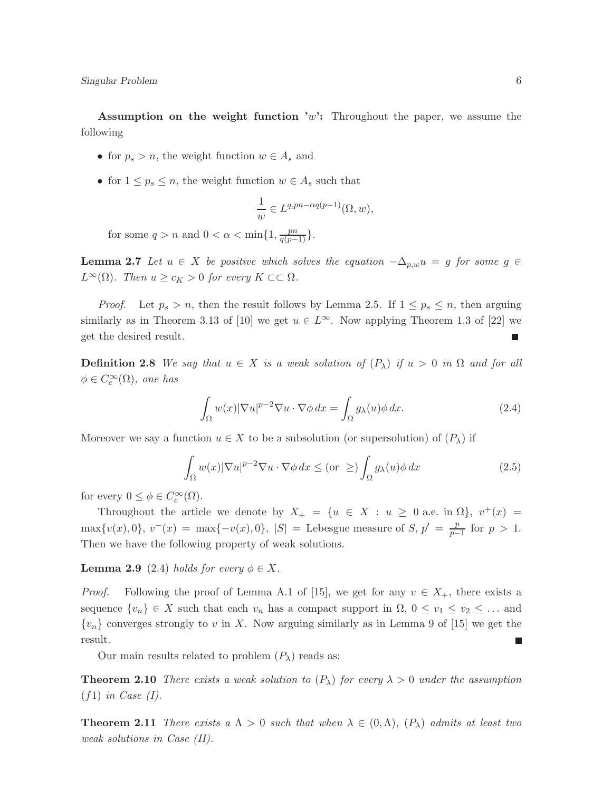Assumption on the weight function  $w$ : Throughout the paper, we assume the following

- for  $p_s > n$ , the weight function  $w \in A_s$  and
- for  $1 \leq p_s \leq n$ , the weight function  $w \in A_s$  such that

$$
\frac{1}{w} \in L^{q, pn - \alpha q(p-1)}(\Omega, w),
$$

for some  $q > n$  and  $0 < \alpha < \min\{1, \frac{pn}{q(p-1)}\}.$ 

**Lemma 2.7** Let  $u \in X$  be positive which solves the equation  $-\Delta_{p,w}u = g$  for some  $g \in$  $L^{\infty}(\Omega)$ . Then  $u \geq c_K > 0$  for every  $K \subset\subset \Omega$ .

*Proof.* Let  $p_s > n$ , then the result follows by Lemma 2.5. If  $1 \leq p_s \leq n$ , then arguing similarly as in Theorem 3.13 of [10] we get  $u \in L^{\infty}$ . Now applying Theorem 1.3 of [22] we get the desired result.  $\Box$ 

**Definition 2.8** We say that  $u \in X$  is a weak solution of  $(P_\lambda)$  if  $u > 0$  in  $\Omega$  and for all  $\phi \in C_c^{\infty}(\Omega)$ , one has

$$
\int_{\Omega} w(x) |\nabla u|^{p-2} \nabla u \cdot \nabla \phi \, dx = \int_{\Omega} g_{\lambda}(u) \phi \, dx. \tag{2.4}
$$

Moreover we say a function  $u \in X$  to be a subsolution (or supersolution) of  $(P_\lambda)$  if

$$
\int_{\Omega} w(x) |\nabla u|^{p-2} \nabla u \cdot \nabla \phi \, dx \le (\text{or } \ge) \int_{\Omega} g_{\lambda}(u) \phi \, dx \tag{2.5}
$$

for every  $0 \leq \phi \in C_c^{\infty}(\Omega)$ .

Throughout the article we denote by  $X_+ = \{u \in X : u \geq 0 \text{ a.e. in } \Omega\}, v^+(x) =$ max $\{v(x), 0\}, v^-(x) = \max\{-v(x), 0\}, |S| =$  Lebesgue measure of S,  $p' = \frac{p}{n-1}$  $\frac{p}{p-1}$  for  $p > 1$ . Then we have the following property of weak solutions.

**Lemma 2.9** (2.4) holds for every  $\phi \in X$ .

*Proof.* Following the proof of Lemma A.1 of [15], we get for any  $v \in X_+$ , there exists a sequence  $\{v_n\} \in X$  such that each  $v_n$  has a compact support in  $\Omega$ ,  $0 \le v_1 \le v_2 \le \dots$  and  ${v_n}$  converges strongly to v in X. Now arguing similarly as in Lemma 9 of [15] we get the result.

Our main results related to problem  $(P_\lambda)$  reads as:

**Theorem 2.10** There exists a weak solution to  $(P_\lambda)$  for every  $\lambda > 0$  under the assumption  $(f1)$  in Case (I).

**Theorem 2.11** There exists a  $\Lambda > 0$  such that when  $\lambda \in (0, \Lambda)$ ,  $(P_{\lambda})$  admits at least two weak solutions in Case (II).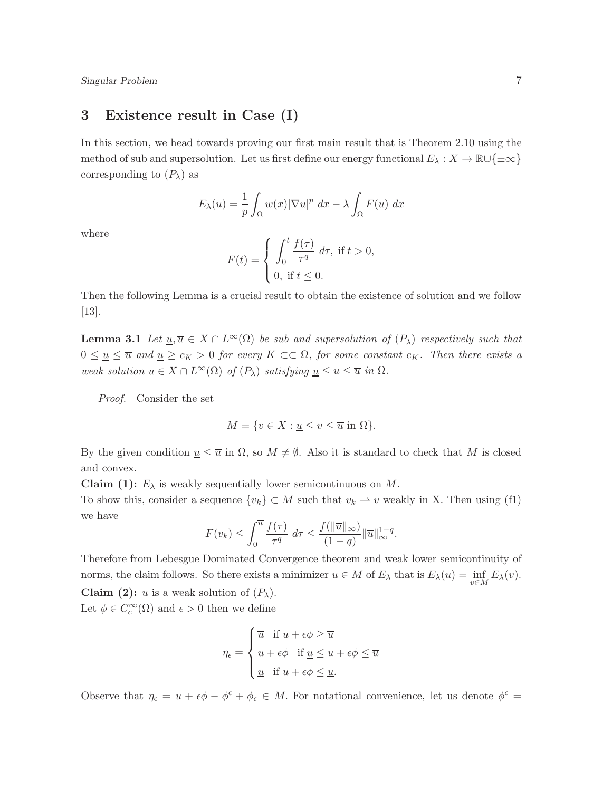#### 3 Existence result in Case (I)

In this section, we head towards proving our first main result that is Theorem 2.10 using the method of sub and supersolution. Let us first define our energy functional  $E_\lambda : X \to \mathbb{R} \cup \{\pm \infty\}$ corresponding to  $(P_\lambda)$  as

$$
E_{\lambda}(u) = \frac{1}{p} \int_{\Omega} w(x) |\nabla u|^p dx - \lambda \int_{\Omega} F(u) dx
$$

where

$$
F(t) = \begin{cases} \int_0^t \frac{f(\tau)}{\tau^q} d\tau, & \text{if } t > 0, \\ 0, & \text{if } t \le 0. \end{cases}
$$

Then the following Lemma is a crucial result to obtain the existence of solution and we follow [13].

**Lemma 3.1** Let  $\underline{u}, \overline{u} \in X \cap L^{\infty}(\Omega)$  be sub and supersolution of  $(P_{\lambda})$  respectively such that  $0 \leq \underline{u} \leq \overline{u}$  and  $\underline{u} \geq c_K > 0$  for every  $K \subset\subset \Omega$ , for some constant  $c_K$ . Then there exists a weak solution  $u \in X \cap L^{\infty}(\Omega)$  of  $(P_{\lambda})$  satisfying  $\underline{u} \leq u \leq \overline{u}$  in  $\Omega$ .

Proof. Consider the set

$$
M = \{ v \in X : \underline{u} \le v \le \overline{u} \text{ in } \Omega \}.
$$

By the given condition  $u \leq \overline{u}$  in  $\Omega$ , so  $M \neq \emptyset$ . Also it is standard to check that M is closed and convex.

**Claim (1):**  $E_{\lambda}$  is weakly sequentially lower semicontinuous on M.

To show this, consider a sequence  $\{v_k\} \subset M$  such that  $v_k \to v$  weakly in X. Then using (f1) we have

$$
F(v_k) \le \int_0^{\overline{u}} \frac{f(\tau)}{\tau^q} d\tau \le \frac{f(||\overline{u}||_{\infty})}{(1-q)} ||\overline{u}||_{\infty}^{1-q}.
$$

Therefore from Lebesgue Dominated Convergence theorem and weak lower semicontinuity of norms, the claim follows. So there exists a minimizer  $u \in M$  of  $E_\lambda$  that is  $E_\lambda(u) = \inf_{v \in M} E_\lambda(v)$ . **Claim (2):** u is a weak solution of  $(P_\lambda)$ .

Let  $\phi \in C_c^{\infty}(\Omega)$  and  $\epsilon > 0$  then we define

$$
\eta_{\epsilon} = \begin{cases} \overline{u} & \text{if } u + \epsilon \phi \geq \overline{u} \\ u + \epsilon \phi & \text{if } \underline{u} \leq u + \epsilon \phi \leq \overline{u} \\ \underline{u} & \text{if } u + \epsilon \phi \leq \underline{u}. \end{cases}
$$

Observe that  $\eta_{\epsilon} = u + \epsilon \phi - \phi^{\epsilon} + \phi_{\epsilon} \in M$ . For notational convenience, let us denote  $\phi^{\epsilon} =$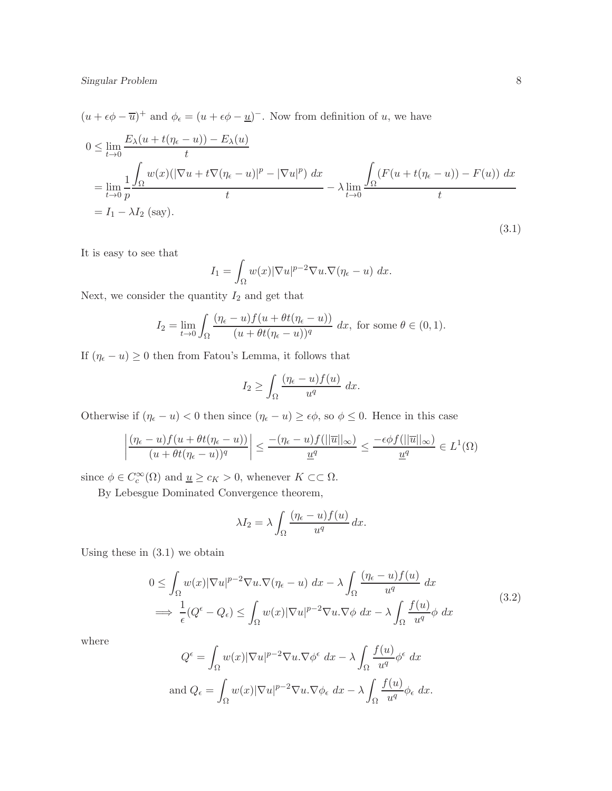$(u + \epsilon \phi - \overline{u})^+$  and  $\phi_{\epsilon} = (u + \epsilon \phi - \underline{u})^-$ . Now from definition of u, we have

$$
0 \leq \lim_{t \to 0} \frac{E_{\lambda}(u + t(\eta_{\epsilon} - u)) - E_{\lambda}(u)}{t}
$$
  
= 
$$
\lim_{t \to 0} \frac{1}{p} \frac{\int_{\Omega} w(x)(|\nabla u + t \nabla (\eta_{\epsilon} - u)|^{p} - |\nabla u|^{p}) dx}{t} - \lambda \lim_{t \to 0} \frac{\int_{\Omega} (F(u + t(\eta_{\epsilon} - u)) - F(u)) dx}{t}
$$
  
= 
$$
I_{1} - \lambda I_{2} \text{ (say)}.
$$
 (3.1)

It is easy to see that

$$
I_1 = \int_{\Omega} w(x) |\nabla u|^{p-2} \nabla u \cdot \nabla (\eta_{\epsilon} - u) \, dx.
$$

Next, we consider the quantity  $I_2$  and get that

$$
I_2 = \lim_{t \to 0} \int_{\Omega} \frac{(\eta_{\epsilon} - u)f(u + \theta t(\eta_{\epsilon} - u))}{(u + \theta t(\eta_{\epsilon} - u))^q} dx
$$
, for some  $\theta \in (0, 1)$ .

If  $(\eta_{\epsilon} - u) \ge 0$  then from Fatou's Lemma, it follows that

$$
I_2 \ge \int_{\Omega} \frac{(\eta_{\epsilon} - u) f(u)}{u^q} \ dx.
$$

Otherwise if  $(\eta_{\epsilon} - u) < 0$  then since  $(\eta_{\epsilon} - u) \ge \epsilon \phi$ , so  $\phi \le 0$ . Hence in this case

$$
\left| \frac{(\eta_{\epsilon} - u)f(u + \theta t(\eta_{\epsilon} - u))}{(u + \theta t(\eta_{\epsilon} - u))^q} \right| \leq \frac{-(\eta_{\epsilon} - u)f(||\overline{u}||_{\infty})}{\underline{u}^q} \leq \frac{-\epsilon \phi f(||\overline{u}||_{\infty})}{\underline{u}^q} \in L^1(\Omega)
$$

since  $\phi \in C_c^{\infty}(\Omega)$  and  $\underline{u} \geq c_K > 0$ , whenever  $K \subset\subset \Omega$ .

By Lebesgue Dominated Convergence theorem,

$$
\lambda I_2 = \lambda \int_{\Omega} \frac{(\eta_{\epsilon} - u) f(u)}{u^q} dx.
$$

Using these in  $(3.1)$  we obtain

$$
0 \leq \int_{\Omega} w(x) |\nabla u|^{p-2} \nabla u \cdot \nabla (\eta_{\epsilon} - u) \, dx - \lambda \int_{\Omega} \frac{(\eta_{\epsilon} - u) f(u)}{u^{q}} \, dx
$$
  

$$
\implies \frac{1}{\epsilon} (Q^{\epsilon} - Q_{\epsilon}) \leq \int_{\Omega} w(x) |\nabla u|^{p-2} \nabla u \cdot \nabla \phi \, dx - \lambda \int_{\Omega} \frac{f(u)}{u^{q}} \phi \, dx \tag{3.2}
$$

where

$$
Q^{\epsilon} = \int_{\Omega} w(x) |\nabla u|^{p-2} \nabla u. \nabla \phi^{\epsilon} dx - \lambda \int_{\Omega} \frac{f(u)}{u^{q}} \phi^{\epsilon} dx
$$
  
and  $Q_{\epsilon} = \int_{\Omega} w(x) |\nabla u|^{p-2} \nabla u. \nabla \phi_{\epsilon} dx - \lambda \int_{\Omega} \frac{f(u)}{u^{q}} \phi_{\epsilon} dx.$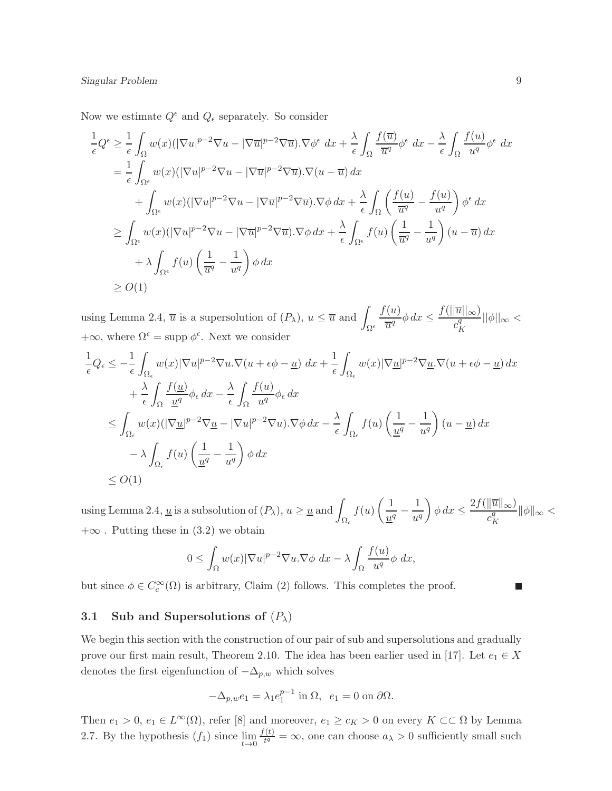Now we estimate  $Q^{\epsilon}$  and  $Q_{\epsilon}$  separately. So consider

$$
\frac{1}{\epsilon}Q^{\epsilon} \geq \frac{1}{\epsilon} \int_{\Omega} w(x)(|\nabla u|^{p-2}\nabla u - |\nabla \overline{u}|^{p-2}\nabla \overline{u}).\nabla \phi^{\epsilon} dx + \frac{\lambda}{\epsilon} \int_{\Omega} \frac{f(\overline{u})}{\overline{u}^{q}} \phi^{\epsilon} dx - \frac{\lambda}{\epsilon} \int_{\Omega} \frac{f(u)}{u^{q}} \phi^{\epsilon} dx
$$
\n
$$
= \frac{1}{\epsilon} \int_{\Omega^{\epsilon}} w(x)(|\nabla u|^{p-2}\nabla u - |\nabla \overline{u}|^{p-2}\nabla \overline{u}).\nabla (u - \overline{u}) dx
$$
\n
$$
+ \int_{\Omega^{\epsilon}} w(x)(|\nabla u|^{p-2}\nabla u - |\nabla \overline{u}|^{p-2}\nabla \overline{u}).\nabla \phi dx + \frac{\lambda}{\epsilon} \int_{\Omega} \left(\frac{f(u)}{\overline{u}^{q}} - \frac{f(u)}{u^{q}}\right) \phi^{\epsilon} dx
$$
\n
$$
\geq \int_{\Omega^{\epsilon}} w(x)(|\nabla u|^{p-2}\nabla u - |\nabla \overline{u}|^{p-2}\nabla \overline{u}).\nabla \phi dx + \frac{\lambda}{\epsilon} \int_{\Omega^{\epsilon}} f(u) \left(\frac{1}{\overline{u}^{q}} - \frac{1}{u^{q}}\right) (u - \overline{u}) dx
$$
\n
$$
+ \lambda \int_{\Omega^{\epsilon}} f(u) \left(\frac{1}{\overline{u}^{q}} - \frac{1}{u^{q}}\right) \phi dx
$$
\n
$$
\geq O(1)
$$

using Lemma 2.4,  $\overline{u}$  is a supersolution of  $(P_{\lambda})$ ,  $u \leq \overline{u}$  and  $\overline{P}$  $\Omega^{\epsilon}$  $f(u)$  $\frac{f(u)}{\overline{u}^q}\phi\,dx \leq \frac{f(||\overline{u}||_{\infty})}{c_K^q}$  $c_l^q$ K  $||\phi||_{\infty}<$  $+\infty$ , where  $\Omega^{\epsilon} = \text{supp }\phi^{\epsilon}$ . Next we consider

$$
\frac{1}{\epsilon}Q_{\epsilon} \leq -\frac{1}{\epsilon} \int_{\Omega_{\epsilon}} w(x) |\nabla u|^{p-2} \nabla u \cdot \nabla (u + \epsilon \phi - \underline{u}) dx + \frac{1}{\epsilon} \int_{\Omega_{\epsilon}} w(x) |\nabla \underline{u}|^{p-2} \nabla \underline{u} \cdot \nabla (u + \epsilon \phi - \underline{u}) dx \n+ \frac{\lambda}{\epsilon} \int_{\Omega} \frac{f(u)}{\underline{u}^{q}} \phi_{\epsilon} dx - \frac{\lambda}{\epsilon} \int_{\Omega} \frac{f(u)}{u^{q}} \phi_{\epsilon} dx \n\leq \int_{\Omega_{\epsilon}} w(x) (|\nabla \underline{u}|^{p-2} \nabla \underline{u} - |\nabla u|^{p-2} \nabla u) \cdot \nabla \phi dx - \frac{\lambda}{\epsilon} \int_{\Omega_{\epsilon}} f(u) \left( \frac{1}{\underline{u}^{q}} - \frac{1}{u^{q}} \right) (u - \underline{u}) dx \n- \lambda \int_{\Omega_{\epsilon}} f(u) \left( \frac{1}{\underline{u}^{q}} - \frac{1}{u^{q}} \right) \phi dx \n\leq O(1)
$$

using Lemma 2.4,  $\underline{u}$  is a subsolution of  $(P_{\lambda})$ ,  $u \ge \underline{u}$  and  $\mu$  $\Omega_\epsilon$  $f(u)\left(\frac{1}{u}\right)$  $\frac{1}{u^q} - \frac{1}{u^q}$  $u^q$  $\int \phi \, dx \leq \frac{2f(||\overline{u}||_{\infty})}{q}$  $c^q_{\mu}$ K  $\|\phi\|_{\infty} <$  $+\infty$ . Putting these in (3.2) we obtain

$$
0 \leq \int_{\Omega} w(x) |\nabla u|^{p-2} \nabla u \cdot \nabla \phi \, dx - \lambda \int_{\Omega} \frac{f(u)}{u^q} \phi \, dx,
$$

but since  $\phi \in C_c^{\infty}(\Omega)$  is arbitrary, Claim (2) follows. This completes the proof.

#### 3.1 Sub and Supersolutions of  $(P_\lambda)$

We begin this section with the construction of our pair of sub and supersolutions and gradually prove our first main result, Theorem 2.10. The idea has been earlier used in [17]. Let  $e_1 \in X$ denotes the first eigenfunction of  $-\Delta_{p,w}$  which solves

$$
-\Delta_{p,w}e_1 = \lambda_1 e_1^{p-1} \text{ in } \Omega, \ \ e_1 = 0 \text{ on } \partial\Omega.
$$

Then  $e_1 > 0$ ,  $e_1 \in L^{\infty}(\Omega)$ , refer [8] and moreover,  $e_1 \ge c_K > 0$  on every  $K \subset\subset \Omega$  by Lemma 2.7. By the hypothesis  $(f_1)$  since  $\lim_{t\to 0}$  $f(t)$  $\frac{dI}{dt^q} = \infty$ , one can choose  $a_{\lambda} > 0$  sufficiently small such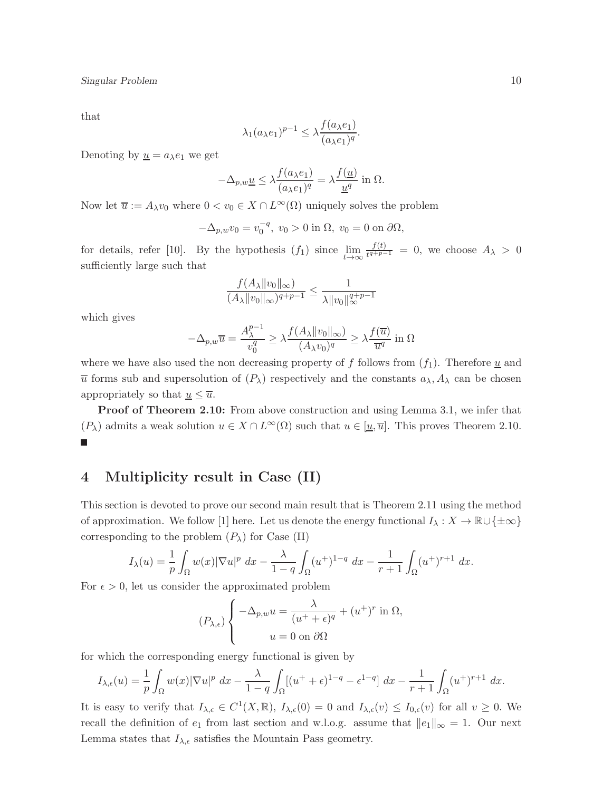that

$$
\lambda_1(a_{\lambda}e_1)^{p-1} \leq \lambda \frac{f(a_{\lambda}e_1)}{(a_{\lambda}e_1)^q}.
$$

Denoting by  $\underline{u} = a_{\lambda}e_1$  we get

$$
-\Delta_{p,w}\underline{u} \le \lambda \frac{f(a_{\lambda}e_1)}{(a_{\lambda}e_1)^q} = \lambda \frac{f(\underline{u})}{\underline{u}^q} \text{ in } \Omega.
$$

Now let  $\overline{u} := A_{\lambda}v_0$  where  $0 < v_0 \in X \cap L^{\infty}(\Omega)$  uniquely solves the problem

$$
-\Delta_{p,w}v_0 = v_0^{-q}, \ v_0 > 0 \text{ in } \Omega, \ v_0 = 0 \text{ on } \partial\Omega,
$$

for details, refer [10]. By the hypothesis  $(f_1)$  since  $\lim_{t\to\infty} \frac{f(t)}{t^{q+p-}}$  $\frac{J(t)}{t^{q+p-1}} = 0$ , we choose  $A_{\lambda} > 0$ sufficiently large such that

$$
\frac{f(A_{\lambda}||v_0||_{\infty})}{(A_{\lambda}||v_0||_{\infty})^{q+p-1}} \le \frac{1}{\lambda ||v_0||_{\infty}^{q+p-1}}
$$

which gives

$$
-\Delta_{p,w}\overline{u} = \frac{A_{\lambda}^{p-1}}{v_0^q} \ge \lambda \frac{f(A_{\lambda} || v_0 ||_{\infty})}{(A_{\lambda}v_0)^q} \ge \lambda \frac{f(\overline{u})}{\overline{u}^q} \text{ in } \Omega
$$

where we have also used the non decreasing property of f follows from  $(f_1)$ . Therefore  $\underline{u}$  and  $\overline{u}$  forms sub and supersolution of  $(P_\lambda)$  respectively and the constants  $a_\lambda$ ,  $A_\lambda$  can be chosen appropriately so that  $u \leq \overline{u}$ .

**Proof of Theorem 2.10:** From above construction and using Lemma 3.1, we infer that  $(P_\lambda)$  admits a weak solution  $u \in X \cap L^\infty(\Omega)$  such that  $u \in [\underline{u}, \overline{u}]$ . This proves Theorem 2.10.  $\overline{\phantom{a}}$ 

#### 4 Multiplicity result in Case (II)

This section is devoted to prove our second main result that is Theorem 2.11 using the method of approximation. We follow [1] here. Let us denote the energy functional  $I_\lambda : X \to \mathbb{R} \cup \{\pm \infty\}$ corresponding to the problem  $(P_\lambda)$  for Case (II)

$$
I_{\lambda}(u) = \frac{1}{p} \int_{\Omega} w(x) |\nabla u|^p \, dx - \frac{\lambda}{1-q} \int_{\Omega} (u^+)^{1-q} \, dx - \frac{1}{r+1} \int_{\Omega} (u^+)^{r+1} \, dx.
$$

For  $\epsilon > 0$ , let us consider the approximated problem

$$
(P_{\lambda,\epsilon})\left\{\n\begin{aligned}\n-\Delta_{p,w}u &= \frac{\lambda}{(u^+ + \epsilon)^q} + (u^+)^r \text{ in } \Omega, \\
u &= 0 \text{ on } \partial\Omega\n\end{aligned}\n\right.
$$

for which the corresponding energy functional is given by

$$
I_{\lambda,\epsilon}(u) = \frac{1}{p} \int_{\Omega} w(x) |\nabla u|^p dx - \frac{\lambda}{1-q} \int_{\Omega} [(u^+ + \epsilon)^{1-q} - \epsilon^{1-q}] dx - \frac{1}{r+1} \int_{\Omega} (u^+)^{r+1} dx.
$$

It is easy to verify that  $I_{\lambda,\epsilon} \in C^1(X,\mathbb{R})$ ,  $I_{\lambda,\epsilon}(0) = 0$  and  $I_{\lambda,\epsilon}(v) \leq I_{0,\epsilon}(v)$  for all  $v \geq 0$ . We recall the definition of  $e_1$  from last section and w.l.o.g. assume that  $||e_1||_{\infty} = 1$ . Our next Lemma states that  $I_{\lambda,\epsilon}$  satisfies the Mountain Pass geometry.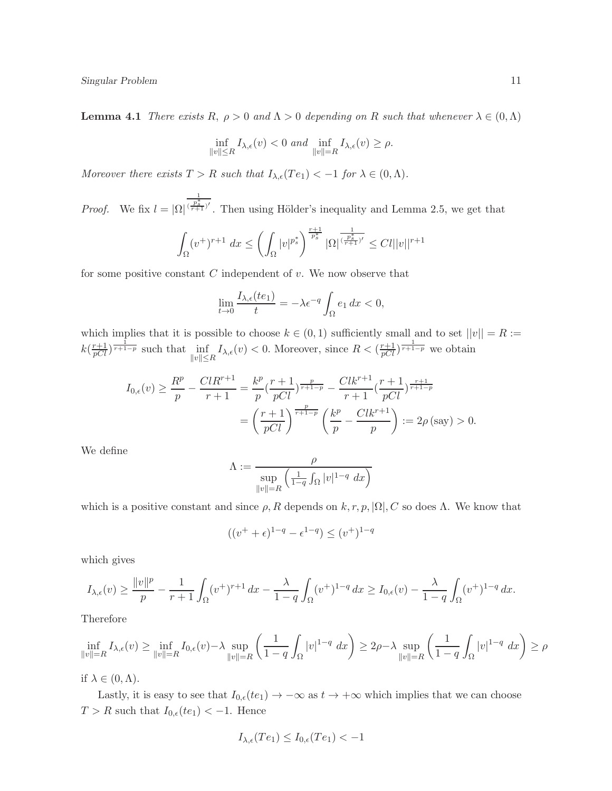**Lemma 4.1** There exists R,  $\rho > 0$  and  $\Lambda > 0$  depending on R such that whenever  $\lambda \in (0, \Lambda)$ 

$$
\inf_{\|v\|\leq R} I_{\lambda,\epsilon}(v) < 0 \text{ and } \inf_{\|v\|=R} I_{\lambda,\epsilon}(v) \geq \rho.
$$

Moreover there exists  $T > R$  such that  $I_{\lambda,\epsilon}(Te_1) < -1$  for  $\lambda \in (0,\Lambda)$ .

*Proof.* We fix  $l = |\Omega|$ 1  $\frac{(\frac{p_s^*}{r+1})'}{r+1}$ . Then using Hölder's inequality and Lemma 2.5, we get that

$$
\int_{\Omega} (v^{+})^{r+1} dx \le \left( \int_{\Omega} |v|^{p_{s}^{*}} \right)^{\frac{r+1}{p_{s}^{*}}} |\Omega|^{\frac{1}{(\frac{p_{s}^{*}}{r+1})'}} \le Cl ||v||^{r+1}
$$

for some positive constant  $C$  independent of  $v$ . We now observe that

$$
\lim_{t \to 0} \frac{I_{\lambda,\epsilon}(te_1)}{t} = -\lambda \epsilon^{-q} \int_{\Omega} e_1 \, dx < 0,
$$

which implies that it is possible to choose  $k \in (0,1)$  sufficiently small and to set  $||v|| = R :=$  $k(\frac{r+1}{pCl})^{\frac{1}{r+1-p}}$  such that  $\inf_{\|v\|\leq R} I_{\lambda,\epsilon}(v) < 0$ . Moreover, since  $R < (\frac{r+1}{pCl})^{\frac{1}{r+1-p}}$  we obtain

$$
I_{0,\epsilon}(v) \ge \frac{R^p}{p} - \frac{ClR^{r+1}}{r+1} = \frac{k^p}{p} \left(\frac{r+1}{pCl}\right)^{\frac{p}{r+1-p}} - \frac{Clk^{r+1}}{r+1} \left(\frac{r+1}{pCl}\right)^{\frac{r+1}{r+1-p}} = \left(\frac{r+1}{pCl}\right)^{\frac{p}{r+1-p}} \left(\frac{k^p}{p} - \frac{Clk^{r+1}}{p}\right) := 2\rho\left(\text{say}\right) > 0.
$$

We define

$$
\Lambda := \frac{\rho}{\sup_{\|v\|=R} \left(\frac{1}{1-q} \int_{\Omega} |v|^{1-q} dx\right)}
$$

which is a positive constant and since  $\rho$ , R depends on k, r, p,  $|\Omega|$ , C so does  $\Lambda$ . We know that

$$
((v^+ + \epsilon)^{1-q} - \epsilon^{1-q}) \le (v^+)^{1-q}
$$

which gives

$$
I_{\lambda,\epsilon}(v) \ge \frac{\|v\|^p}{p} - \frac{1}{r+1} \int_{\Omega} (v^+)^{r+1} \, dx - \frac{\lambda}{1-q} \int_{\Omega} (v^+)^{1-q} \, dx \ge I_{0,\epsilon}(v) - \frac{\lambda}{1-q} \int_{\Omega} (v^+)^{1-q} \, dx.
$$

Therefore

$$
\inf_{\|v\|=R} I_{\lambda,\epsilon}(v) \ge \inf_{\|v\|=R} I_{0,\epsilon}(v) - \lambda \sup_{\|v\|=R} \left( \frac{1}{1-q} \int_{\Omega} |v|^{1-q} dx \right) \ge 2\rho - \lambda \sup_{\|v\|=R} \left( \frac{1}{1-q} \int_{\Omega} |v|^{1-q} dx \right) \ge \rho
$$

if  $\lambda \in (0, \Lambda)$ .

Lastly, it is easy to see that  $I_{0,\epsilon}(te_1) \to -\infty$  as  $t \to +\infty$  which implies that we can choose  $T > R$  such that  $I_{0,\epsilon}(te_1) < -1$ . Hence

$$
I_{\lambda,\epsilon}(Te_1) \le I_{0,\epsilon}(Te_1) < -1
$$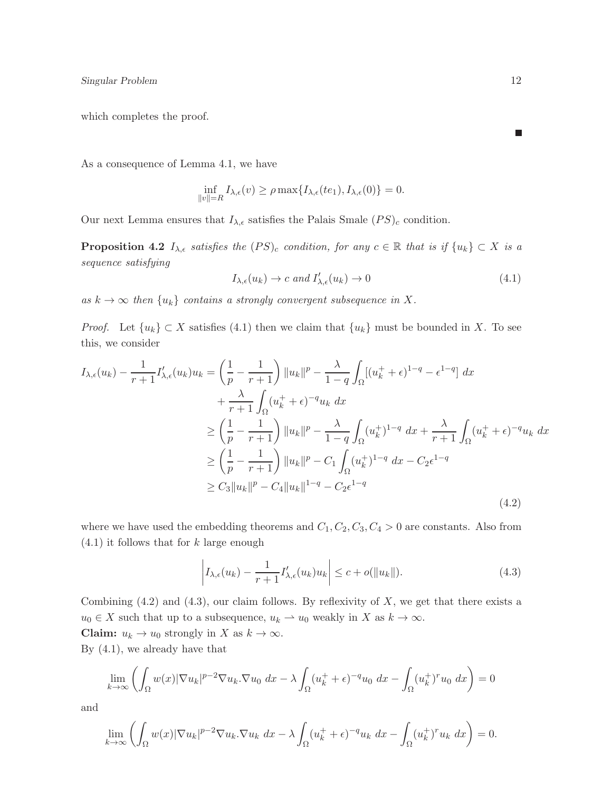which completes the proof.

As a consequence of Lemma 4.1, we have

$$
\inf_{\|v\|=R} I_{\lambda,\epsilon}(v) \ge \rho \max\{I_{\lambda,\epsilon}(te_1), I_{\lambda,\epsilon}(0)\} = 0.
$$

Our next Lemma ensures that  $I_{\lambda,\epsilon}$  satisfies the Palais Smale  $(PS)_c$  condition.

**Proposition 4.2**  $I_{\lambda,\epsilon}$  satisfies the  $(PS)_c$  condition, for any  $c \in \mathbb{R}$  that is if  $\{u_k\} \subset X$  is a sequence satisfying

$$
I_{\lambda,\epsilon}(u_k) \to c \text{ and } I'_{\lambda,\epsilon}(u_k) \to 0 \tag{4.1}
$$

as  $k \to \infty$  then  $\{u_k\}$  contains a strongly convergent subsequence in X.

*Proof.* Let  $\{u_k\} \subset X$  satisfies (4.1) then we claim that  $\{u_k\}$  must be bounded in X. To see this, we consider

$$
I_{\lambda,\epsilon}(u_k) - \frac{1}{r+1} I'_{\lambda,\epsilon}(u_k) u_k = \left(\frac{1}{p} - \frac{1}{r+1}\right) \|u_k\|^p - \frac{\lambda}{1-q} \int_{\Omega} [(u_k^+ + \epsilon)^{1-q} - \epsilon^{1-q}] dx + \frac{\lambda}{r+1} \int_{\Omega} (u_k^+ + \epsilon)^{-q} u_k dx \ge \left(\frac{1}{p} - \frac{1}{r+1}\right) \|u_k\|^p - \frac{\lambda}{1-q} \int_{\Omega} (u_k^+)^{1-q} dx + \frac{\lambda}{r+1} \int_{\Omega} (u_k^+ + \epsilon)^{-q} u_k dx \ge \left(\frac{1}{p} - \frac{1}{r+1}\right) \|u_k\|^p - C_1 \int_{\Omega} (u_k^+)^{1-q} dx - C_2 \epsilon^{1-q} \ge C_3 \|u_k\|^p - C_4 \|u_k\|^{1-q} - C_2 \epsilon^{1-q}
$$
\n(4.2)

where we have used the embedding theorems and  $C_1, C_2, C_3, C_4 > 0$  are constants. Also from  $(4.1)$  it follows that for k large enough

$$
\left| I_{\lambda,\epsilon}(u_k) - \frac{1}{r+1} I'_{\lambda,\epsilon}(u_k) u_k \right| \le c + o(\|u_k\|). \tag{4.3}
$$

Combining  $(4.2)$  and  $(4.3)$ , our claim follows. By reflexivity of X, we get that there exists a  $u_0 \in X$  such that up to a subsequence,  $u_k \rightharpoonup u_0$  weakly in X as  $k \to \infty$ .

**Claim:**  $u_k \to u_0$  strongly in X as  $k \to \infty$ .

By (4.1), we already have that

$$
\lim_{k \to \infty} \left( \int_{\Omega} w(x) |\nabla u_k|^{p-2} \nabla u_k \cdot \nabla u_0 \, dx - \lambda \int_{\Omega} (u_k^+ + \epsilon)^{-q} u_0 \, dx - \int_{\Omega} (u_k^+)^r u_0 \, dx \right) = 0
$$

and

$$
\lim_{k \to \infty} \left( \int_{\Omega} w(x) |\nabla u_k|^{p-2} \nabla u_k \cdot \nabla u_k \, dx - \lambda \int_{\Omega} (u_k^+ + \epsilon)^{-q} u_k \, dx - \int_{\Omega} (u_k^+)^r u_k \, dx \right) = 0.
$$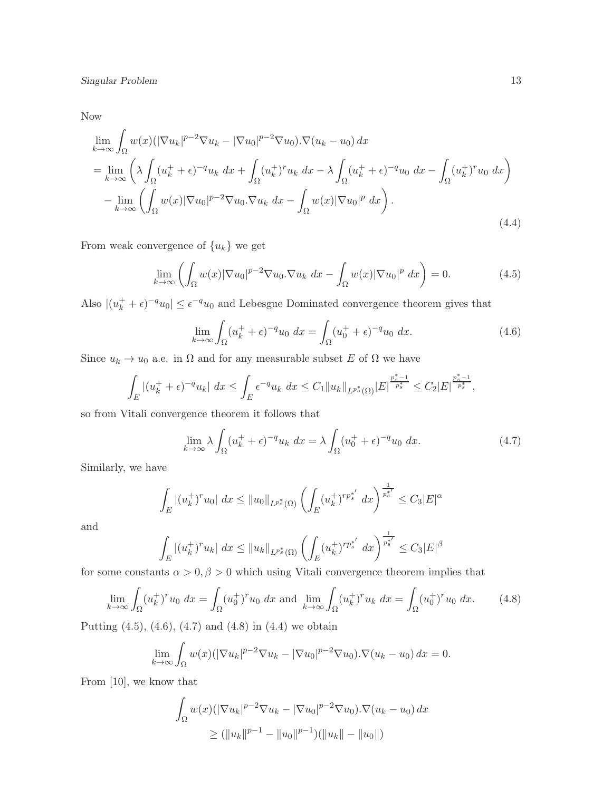Now

$$
\lim_{k \to \infty} \int_{\Omega} w(x) \left( |\nabla u_k|^{p-2} \nabla u_k - |\nabla u_0|^{p-2} \nabla u_0 \right) \cdot \nabla (u_k - u_0) \, dx
$$
\n
$$
= \lim_{k \to \infty} \left( \lambda \int_{\Omega} (u_k^+ + \epsilon)^{-q} u_k \, dx + \int_{\Omega} (u_k^+)^r u_k \, dx - \lambda \int_{\Omega} (u_k^+ + \epsilon)^{-q} u_0 \, dx - \int_{\Omega} (u_k^+)^r u_0 \, dx \right)
$$
\n
$$
- \lim_{k \to \infty} \left( \int_{\Omega} w(x) |\nabla u_0|^{p-2} \nabla u_0 \cdot \nabla u_k \, dx - \int_{\Omega} w(x) |\nabla u_0|^p \, dx \right).
$$
\n(4.4)

From weak convergence of  ${u_k}$  we get

$$
\lim_{k \to \infty} \left( \int_{\Omega} w(x) |\nabla u_0|^{p-2} \nabla u_0 \cdot \nabla u_k \, dx - \int_{\Omega} w(x) |\nabla u_0|^p \, dx \right) = 0. \tag{4.5}
$$

Also  $|(u_k^+ + \epsilon)^{-q}u_0| \leq \epsilon^{-q}u_0$  and Lebesgue Dominated convergence theorem gives that

$$
\lim_{k \to \infty} \int_{\Omega} (u_k^+ + \epsilon)^{-q} u_0 \, dx = \int_{\Omega} (u_0^+ + \epsilon)^{-q} u_0 \, dx. \tag{4.6}
$$

Since  $u_k \to u_0$  a.e. in  $\Omega$  and for any measurable subset E of  $\Omega$  we have

$$
\int_{E} |(u_k^+ + \epsilon)^{-q} u_k| dx \le \int_{E} \epsilon^{-q} u_k dx \le C_1 \|u_k\|_{L^{p^*_s}(\Omega)} |E|^{\frac{p^*_s - 1}{p^*_s}} \le C_2 |E|^{\frac{p^*_s - 1}{p^*_s}},
$$

so from Vitali convergence theorem it follows that

$$
\lim_{k \to \infty} \lambda \int_{\Omega} (u_k^+ + \epsilon)^{-q} u_k \, dx = \lambda \int_{\Omega} (u_0^+ + \epsilon)^{-q} u_0 \, dx. \tag{4.7}
$$

Similarly, we have

$$
\int_{E} |(u_k^+)^r u_0| dx \le ||u_0||_{L^{p_s^*}(\Omega)} \left( \int_{E} (u_k^+)^{r p_s^{*'}} dx \right)^{\frac{1}{p_s^{*'}}} \le C_3 |E|^{\alpha}
$$

and

$$
\int_{E} |(u_k^+)^r u_k| \, dx \le ||u_k||_{L^{p_s^*}(\Omega)} \left( \int_{E} (u_k^+)^{rp_s^{*'}} \, dx \right)^{\frac{1}{p_s^{*'}}} \le C_3 |E|^{\beta}
$$

for some constants  $\alpha > 0$ ,  $\beta > 0$  which using Vitali convergence theorem implies that

$$
\lim_{k \to \infty} \int_{\Omega} (u_k^+)^r u_0 \, dx = \int_{\Omega} (u_0^+)^r u_0 \, dx \text{ and } \lim_{k \to \infty} \int_{\Omega} (u_k^+)^r u_k \, dx = \int_{\Omega} (u_0^+)^r u_0 \, dx. \tag{4.8}
$$

Putting (4.5), (4.6), (4.7) and (4.8) in (4.4) we obtain

$$
\lim_{k \to \infty} \int_{\Omega} w(x) (|\nabla u_k|^{p-2} \nabla u_k - |\nabla u_0|^{p-2} \nabla u_0) . \nabla (u_k - u_0) dx = 0.
$$

From [10], we know that

$$
\int_{\Omega} w(x)(|\nabla u_k|^{p-2} \nabla u_k - |\nabla u_0|^{p-2} \nabla u_0) \cdot \nabla (u_k - u_0) dx
$$
  
\n
$$
\geq (||u_k||^{p-1} - ||u_0||^{p-1})(||u_k|| - ||u_0||)
$$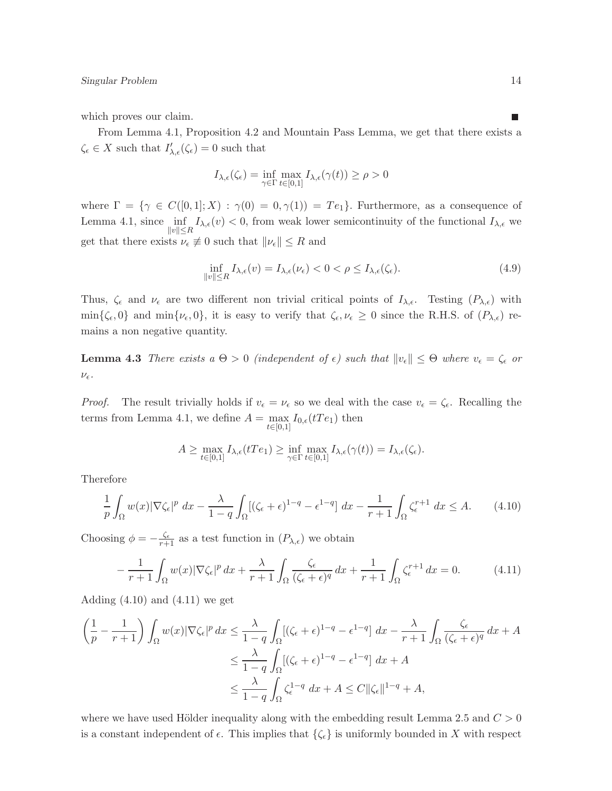which proves our claim.

From Lemma 4.1, Proposition 4.2 and Mountain Pass Lemma, we get that there exists a  $\zeta_{\epsilon} \in X$  such that  $I'_{\lambda,\epsilon}(\zeta_{\epsilon}) = 0$  such that

$$
I_{\lambda,\epsilon}(\zeta_{\epsilon}) = \inf_{\gamma \in \Gamma} \max_{t \in [0,1]} I_{\lambda,\epsilon}(\gamma(t)) \ge \rho > 0
$$

where  $\Gamma = \{ \gamma \in C([0,1];X) : \gamma(0) = 0, \gamma(1) \} = Te_1 \}.$  Furthermore, as a consequence of Lemma 4.1, since  $\inf_{\|v\|\leq R} I_{\lambda,\epsilon}(v) < 0$ , from weak lower semicontinuity of the functional  $I_{\lambda,\epsilon}$  we get that there exists  $\nu_{\epsilon} \not\equiv 0$  such that  $\|\nu_{\epsilon}\| \leq R$  and

$$
\inf_{\|v\| \le R} I_{\lambda,\epsilon}(v) = I_{\lambda,\epsilon}(\nu_{\epsilon}) < 0 < \rho \le I_{\lambda,\epsilon}(\zeta_{\epsilon}).\tag{4.9}
$$

Thus,  $\zeta_{\epsilon}$  and  $\nu_{\epsilon}$  are two different non trivial critical points of  $I_{\lambda,\epsilon}$ . Testing  $(P_{\lambda,\epsilon})$  with  $\min\{\zeta_{\epsilon}, 0\}$  and  $\min\{\nu_{\epsilon}, 0\}$ , it is easy to verify that  $\zeta_{\epsilon}, \nu_{\epsilon} \geq 0$  since the R.H.S. of  $(P_{\lambda,\epsilon})$  remains a non negative quantity.

**Lemma 4.3** There exists a  $\Theta > 0$  (independent of  $\epsilon$ ) such that  $||v_{\epsilon}|| \leq \Theta$  where  $v_{\epsilon} = \zeta_{\epsilon}$  or  $\nu_{\epsilon}$ .

*Proof.* The result trivially holds if  $v_{\epsilon} = v_{\epsilon}$  so we deal with the case  $v_{\epsilon} = \zeta_{\epsilon}$ . Recalling the terms from Lemma 4.1, we define  $A = \max_{t \in [0,1]} I_{0,\epsilon}(tTe_1)$  then

$$
A \geq \max_{t \in [0,1]} I_{\lambda,\epsilon}(tTe_1) \geq \inf_{\gamma \in \Gamma} \max_{t \in [0,1]} I_{\lambda,\epsilon}(\gamma(t)) = I_{\lambda,\epsilon}(\zeta_{\epsilon}).
$$

Therefore

$$
\frac{1}{p} \int_{\Omega} w(x) |\nabla \zeta_{\epsilon}|^p dx - \frac{\lambda}{1-q} \int_{\Omega} [(\zeta_{\epsilon} + \epsilon)^{1-q} - \epsilon^{1-q}] dx - \frac{1}{r+1} \int_{\Omega} \zeta_{\epsilon}^{r+1} dx \le A. \tag{4.10}
$$

Choosing  $\phi = -\frac{\zeta_{\epsilon}}{r+1}$  as a test function in  $(P_{\lambda,\epsilon})$  we obtain

$$
-\frac{1}{r+1}\int_{\Omega}w(x)|\nabla\zeta_{\epsilon}|^{p} dx + \frac{\lambda}{r+1}\int_{\Omega}\frac{\zeta_{\epsilon}}{(\zeta_{\epsilon}+\epsilon)^{q}} dx + \frac{1}{r+1}\int_{\Omega}\zeta_{\epsilon}^{r+1} dx = 0.
$$
 (4.11)

Adding  $(4.10)$  and  $(4.11)$  we get

$$
\left(\frac{1}{p} - \frac{1}{r+1}\right) \int_{\Omega} w(x) |\nabla \zeta_{\epsilon}|^p dx \le \frac{\lambda}{1-q} \int_{\Omega} \left[ (\zeta_{\epsilon} + \epsilon)^{1-q} - \epsilon^{1-q} \right] dx - \frac{\lambda}{r+1} \int_{\Omega} \frac{\zeta_{\epsilon}}{(\zeta_{\epsilon} + \epsilon)^q} dx + A
$$
  

$$
\le \frac{\lambda}{1-q} \int_{\Omega} \left[ (\zeta_{\epsilon} + \epsilon)^{1-q} - \epsilon^{1-q} \right] dx + A
$$
  

$$
\le \frac{\lambda}{1-q} \int_{\Omega} \zeta_{\epsilon}^{1-q} dx + A \le C ||\zeta_{\epsilon}||^{1-q} + A,
$$

where we have used Hölder inequality along with the embedding result Lemma 2.5 and  $C > 0$ is a constant independent of  $\epsilon$ . This implies that  $\{\zeta_{\epsilon}\}\$ is uniformly bounded in X with respect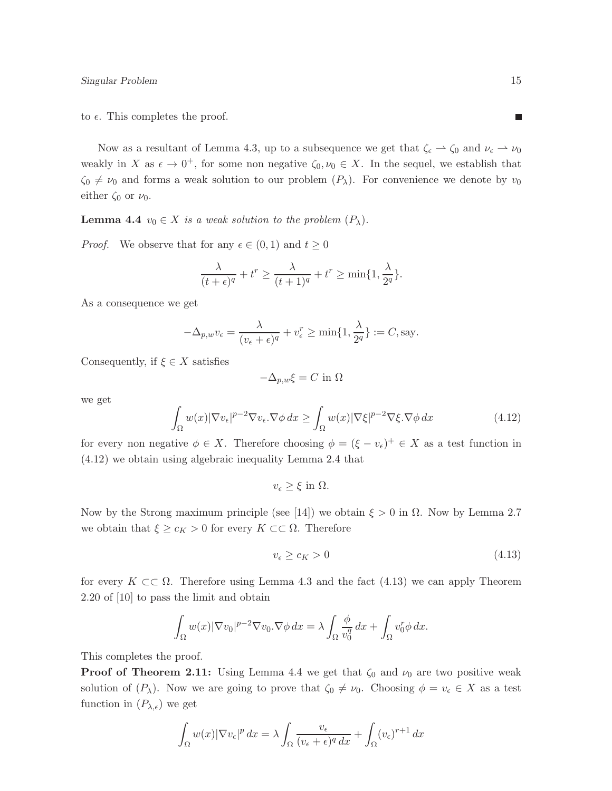to  $\epsilon$ . This completes the proof.

Now as a resultant of Lemma 4.3, up to a subsequence we get that  $\zeta_{\epsilon} \to \zeta_0$  and  $\nu_{\epsilon} \to \nu_0$ weakly in X as  $\epsilon \to 0^+$ , for some non negative  $\zeta_0, \nu_0 \in X$ . In the sequel, we establish that  $\zeta_0 \neq \nu_0$  and forms a weak solution to our problem  $(P_\lambda)$ . For convenience we denote by  $\nu_0$ either  $\zeta_0$  or  $\nu_0$ .

**Lemma 4.4**  $v_0 \in X$  is a weak solution to the problem  $(P_\lambda)$ .

*Proof.* We observe that for any  $\epsilon \in (0,1)$  and  $t \geq 0$ 

$$
\frac{\lambda}{(t+\epsilon)^q} + t^r \ge \frac{\lambda}{(t+1)^q} + t^r \ge \min\{1, \frac{\lambda}{2^q}\}.
$$

As a consequence we get

$$
-\Delta_{p,w}v_{\epsilon} = \frac{\lambda}{(v_{\epsilon} + \epsilon)^{q}} + v_{\epsilon}^{r} \ge \min\{1, \frac{\lambda}{2^{q}}\} := C, \text{say}.
$$

Consequently, if  $\xi \in X$  satisfies

$$
-\Delta_{p,w}\xi = C \text{ in } \Omega
$$

we get

$$
\int_{\Omega} w(x) |\nabla v_{\epsilon}|^{p-2} \nabla v_{\epsilon} \cdot \nabla \phi \, dx \ge \int_{\Omega} w(x) |\nabla \xi|^{p-2} \nabla \xi \cdot \nabla \phi \, dx \tag{4.12}
$$

for every non negative  $\phi \in X$ . Therefore choosing  $\phi = (\xi - v_{\epsilon})^+ \in X$  as a test function in (4.12) we obtain using algebraic inequality Lemma 2.4 that

$$
v_{\epsilon} \geq \xi \text{ in } \Omega.
$$

Now by the Strong maximum principle (see [14]) we obtain  $\xi > 0$  in  $\Omega$ . Now by Lemma 2.7 we obtain that  $\xi \geq c_K > 0$  for every  $K \subset\subset \Omega$ . Therefore

$$
v_{\epsilon} \ge c_K > 0 \tag{4.13}
$$

for every  $K \subset\subset \Omega$ . Therefore using Lemma 4.3 and the fact (4.13) we can apply Theorem 2.20 of [10] to pass the limit and obtain

$$
\int_{\Omega} w(x) |\nabla v_0|^{p-2} \nabla v_0 \cdot \nabla \phi \, dx = \lambda \int_{\Omega} \frac{\phi}{v_0^q} \, dx + \int_{\Omega} v_0^r \phi \, dx.
$$

This completes the proof.

**Proof of Theorem 2.11:** Using Lemma 4.4 we get that  $\zeta_0$  and  $\nu_0$  are two positive weak solution of  $(P_\lambda)$ . Now we are going to prove that  $\zeta_0 \neq \nu_0$ . Choosing  $\phi = v_\epsilon \in X$  as a test function in  $(P_{\lambda,\epsilon})$  we get

$$
\int_{\Omega} w(x) |\nabla v_{\epsilon}|^p dx = \lambda \int_{\Omega} \frac{v_{\epsilon}}{(v_{\epsilon} + \epsilon)^q dx} + \int_{\Omega} (v_{\epsilon})^{r+1} dx
$$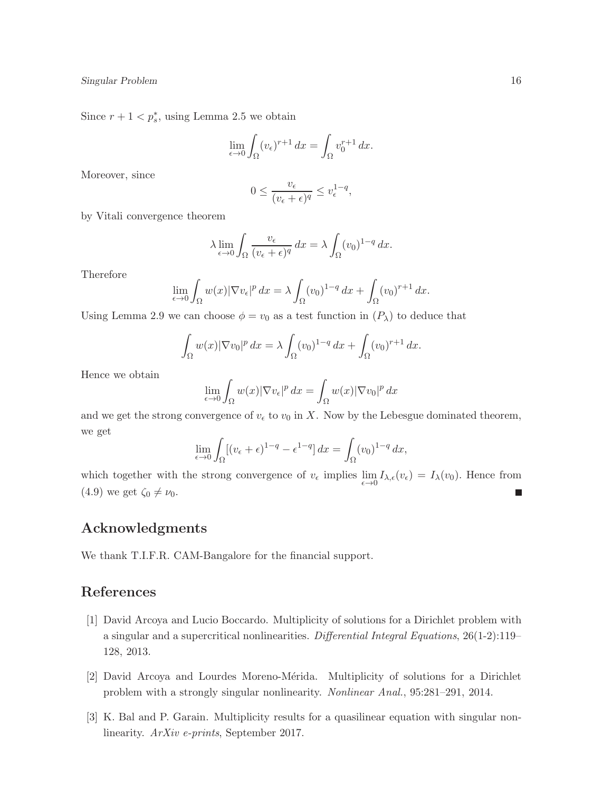Since  $r + 1 < p_s^*$ , using Lemma 2.5 we obtain

$$
\lim_{\epsilon \to 0} \int_{\Omega} (v_{\epsilon})^{r+1} dx = \int_{\Omega} v_0^{r+1} dx.
$$

Moreover, since

$$
0 \le \frac{v_{\epsilon}}{(v_{\epsilon} + \epsilon)^q} \le v_{\epsilon}^{1-q},
$$

by Vitali convergence theorem

$$
\lambda \lim_{\epsilon \to 0} \int_{\Omega} \frac{v_{\epsilon}}{(v_{\epsilon} + \epsilon)^q} dx = \lambda \int_{\Omega} (v_0)^{1-q} dx.
$$

Therefore

$$
\lim_{\epsilon \to 0} \int_{\Omega} w(x) |\nabla v_{\epsilon}|^p dx = \lambda \int_{\Omega} (v_0)^{1-q} dx + \int_{\Omega} (v_0)^{r+1} dx.
$$

Using Lemma 2.9 we can choose  $\phi = v_0$  as a test function in  $(P_\lambda)$  to deduce that

$$
\int_{\Omega} w(x) |\nabla v_0|^p dx = \lambda \int_{\Omega} (v_0)^{1-q} dx + \int_{\Omega} (v_0)^{r+1} dx.
$$

Hence we obtain

$$
\lim_{\epsilon \to 0} \int_{\Omega} w(x) |\nabla v_{\epsilon}|^p dx = \int_{\Omega} w(x) |\nabla v_0|^p dx
$$

and we get the strong convergence of  $v_{\epsilon}$  to  $v_0$  in X. Now by the Lebesgue dominated theorem, we get

$$
\lim_{\epsilon \to 0} \int_{\Omega} [(v_{\epsilon} + \epsilon)^{1-q} - \epsilon^{1-q}] dx = \int_{\Omega} (v_0)^{1-q} dx,
$$

which together with the strong convergence of  $v_{\epsilon}$  implies  $\lim_{\epsilon \to 0} I_{\lambda,\epsilon}(v_{\epsilon}) = I_{\lambda}(v_0)$ . Hence from (4.9) we get  $\zeta_0 \neq \nu_0$ .

#### Acknowledgments

We thank T.I.F.R. CAM-Bangalore for the financial support.

## References

- [1] David Arcoya and Lucio Boccardo. Multiplicity of solutions for a Dirichlet problem with a singular and a supercritical nonlinearities. Differential Integral Equations, 26(1-2):119– 128, 2013.
- [2] David Arcoya and Lourdes Moreno-M´erida. Multiplicity of solutions for a Dirichlet problem with a strongly singular nonlinearity. Nonlinear Anal., 95:281–291, 2014.
- [3] K. Bal and P. Garain. Multiplicity results for a quasilinear equation with singular nonlinearity. ArXiv e-prints, September 2017.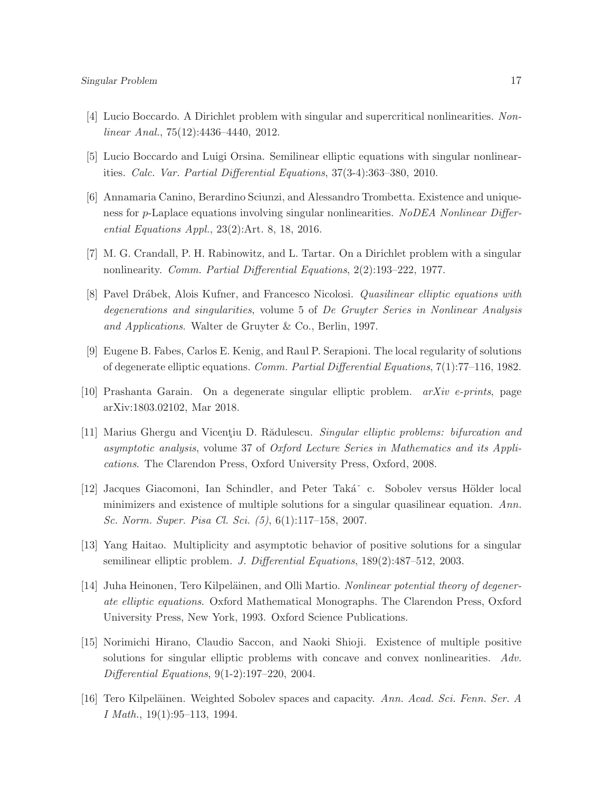- [4] Lucio Boccardo. A Dirichlet problem with singular and supercritical nonlinearities. Nonlinear Anal., 75(12):4436–4440, 2012.
- [5] Lucio Boccardo and Luigi Orsina. Semilinear elliptic equations with singular nonlinearities. Calc. Var. Partial Differential Equations, 37(3-4):363–380, 2010.
- [6] Annamaria Canino, Berardino Sciunzi, and Alessandro Trombetta. Existence and uniqueness for p-Laplace equations involving singular nonlinearities. NoDEA Nonlinear Differential Equations Appl., 23(2):Art. 8, 18, 2016.
- [7] M. G. Crandall, P. H. Rabinowitz, and L. Tartar. On a Dirichlet problem with a singular nonlinearity. Comm. Partial Differential Equations, 2(2):193–222, 1977.
- [8] Pavel Drábek, Alois Kufner, and Francesco Nicolosi. *Quasilinear elliptic equations with* degenerations and singularities, volume 5 of De Gruyter Series in Nonlinear Analysis and Applications. Walter de Gruyter & Co., Berlin, 1997.
- [9] Eugene B. Fabes, Carlos E. Kenig, and Raul P. Serapioni. The local regularity of solutions of degenerate elliptic equations. Comm. Partial Differential Equations, 7(1):77–116, 1982.
- [10] Prashanta Garain. On a degenerate singular elliptic problem.  $arXiv$  e-prints, page arXiv:1803.02102, Mar 2018.
- [11] Marius Ghergu and Vicentiu D. Rădulescu. Singular elliptic problems: bifurcation and asymptotic analysis, volume 37 of Oxford Lecture Series in Mathematics and its Applications. The Clarendon Press, Oxford University Press, Oxford, 2008.
- [12] Jacques Giacomoni, Ian Schindler, and Peter Taká<sup>\*</sup> c. Sobolev versus Hölder local minimizers and existence of multiple solutions for a singular quasilinear equation. Ann. Sc. Norm. Super. Pisa Cl. Sci. (5), 6(1):117–158, 2007.
- [13] Yang Haitao. Multiplicity and asymptotic behavior of positive solutions for a singular semilinear elliptic problem. J. Differential Equations, 189(2):487–512, 2003.
- [14] Juha Heinonen, Tero Kilpeläinen, and Olli Martio. Nonlinear potential theory of degenerate elliptic equations. Oxford Mathematical Monographs. The Clarendon Press, Oxford University Press, New York, 1993. Oxford Science Publications.
- [15] Norimichi Hirano, Claudio Saccon, and Naoki Shioji. Existence of multiple positive solutions for singular elliptic problems with concave and convex nonlinearities. Adv. Differential Equations, 9(1-2):197–220, 2004.
- [16] Tero Kilpeläinen. Weighted Sobolev spaces and capacity. Ann. Acad. Sci. Fenn. Ser. A I Math., 19(1):95–113, 1994.